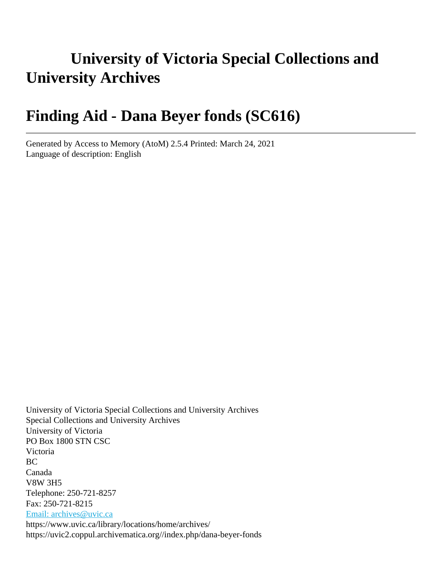# **University of Victoria Special Collections and University Archives**

# **Finding Aid - Dana Beyer fonds (SC616)**

Generated by Access to Memory (AtoM) 2.5.4 Printed: March 24, 2021 Language of description: English

University of Victoria Special Collections and University Archives Special Collections and University Archives University of Victoria PO Box 1800 STN CSC Victoria BC Canada V8W 3H5 Telephone: 250-721-8257 Fax: 250-721-8215 [Email: archives@uvic.ca](mailto:Email: archives@uvic.ca) https://www.uvic.ca/library/locations/home/archives/ https://uvic2.coppul.archivematica.org//index.php/dana-beyer-fonds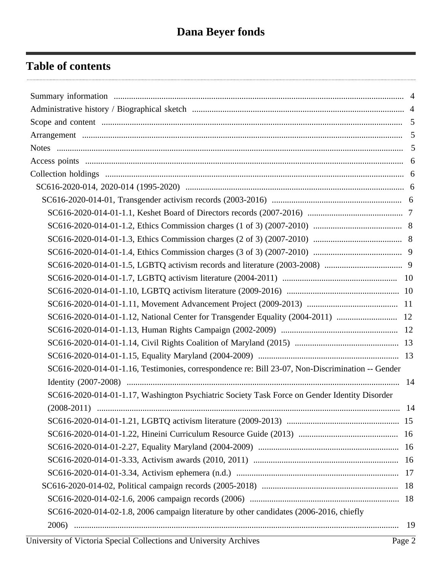# **Table of contents**

| SC616-2020-014-01-1.12, National Center for Transgender Equality (2004-2011)  12                 |  |
|--------------------------------------------------------------------------------------------------|--|
|                                                                                                  |  |
|                                                                                                  |  |
|                                                                                                  |  |
| SC616-2020-014-01-1.16, Testimonies, correspondence re: Bill 23-07, Non-Discrimination -- Gender |  |
|                                                                                                  |  |
| SC616-2020-014-01-1.17, Washington Psychiatric Society Task Force on Gender Identity Disorder    |  |
|                                                                                                  |  |
|                                                                                                  |  |
|                                                                                                  |  |
|                                                                                                  |  |
|                                                                                                  |  |
|                                                                                                  |  |
|                                                                                                  |  |
|                                                                                                  |  |
| SC616-2020-014-02-1.8, 2006 campaign literature by other candidates (2006-2016, chiefly          |  |
|                                                                                                  |  |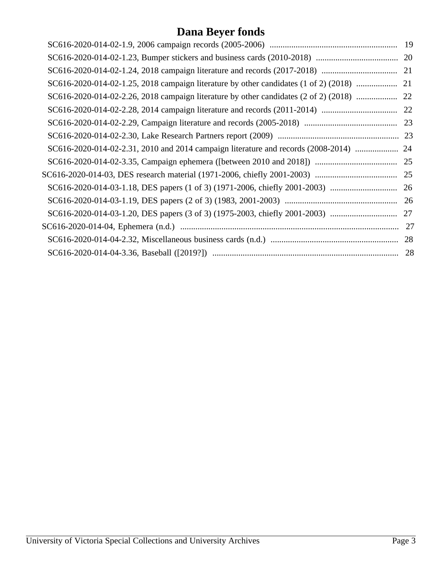# **Dana Beyer fonds**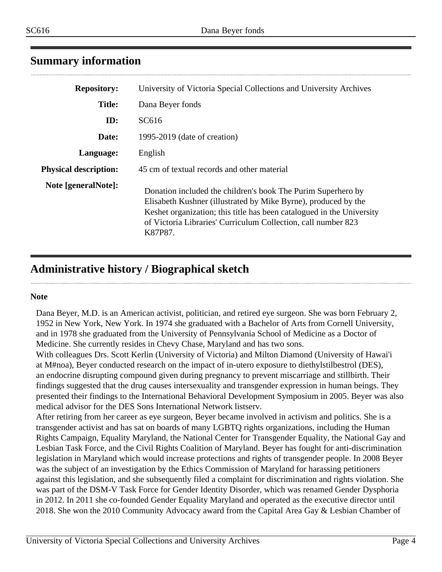| <b>Repository:</b>           | University of Victoria Special Collections and University Archives                                                                                                                                                                                                                  |
|------------------------------|-------------------------------------------------------------------------------------------------------------------------------------------------------------------------------------------------------------------------------------------------------------------------------------|
| <b>Title:</b>                | Dana Beyer fonds                                                                                                                                                                                                                                                                    |
| ID:                          | SC616                                                                                                                                                                                                                                                                               |
| Date:                        | 1995-2019 (date of creation)                                                                                                                                                                                                                                                        |
| Language:                    | English                                                                                                                                                                                                                                                                             |
| <b>Physical description:</b> | 45 cm of textual records and other material                                                                                                                                                                                                                                         |
| Note [generalNote]:          | Donation included the children's book The Purim Superhero by<br>Elisabeth Kushner (illustrated by Mike Byrne), produced by the<br>Keshet organization; this title has been catalogued in the University<br>of Victoria Libraries' Curriculum Collection, call number 823<br>K87P87. |

# <span id="page-3-0"></span>**Summary information**

# <span id="page-3-1"></span>**Administrative history / Biographical sketch**

#### **Note**

Dana Beyer, M.D. is an American activist, politician, and retired eye surgeon. She was born February 2, 1952 in New York, New York. In 1974 she graduated with a Bachelor of Arts from Cornell University, and in 1978 she graduated from the University of Pennsylvania School of Medicine as a Doctor of Medicine. She currently resides in Chevy Chase, Maryland and has two sons.

With colleagues Drs. Scott Kerlin (University of Victoria) and Milton Diamond (University of Hawai'i at M#noa), Beyer conducted research on the impact of in-utero exposure to diethylstilbestrol (DES), an endocrine disrupting compound given during pregnancy to prevent miscarriage and stillbirth. Their findings suggested that the drug causes intersexuality and transgender expression in human beings. They presented their findings to the International Behavioral Development Symposium in 2005. Beyer was also medical advisor for the DES Sons International Network listserv.

After retiring from her career as eye surgeon, Beyer became involved in activism and politics. She is a transgender activist and has sat on boards of many LGBTQ rights organizations, including the Human Rights Campaign, Equality Maryland, the National Center for Transgender Equality, the National Gay and Lesbian Task Force, and the Civil Rights Coalition of Maryland. Beyer has fought for anti-discrimination legislation in Maryland which would increase protections and rights of transgender people. In 2008 Beyer was the subject of an investigation by the Ethics Commission of Maryland for harassing petitioners against this legislation, and she subsequently filed a complaint for discrimination and rights violation. She was part of the DSM-V Task Force for Gender Identity Disorder, which was renamed Gender Dysphoria in 2012. In 2011 she co-founded Gender Equality Maryland and operated as the executive director until 2018. She won the 2010 Community Advocacy award from the Capital Area Gay & Lesbian Chamber of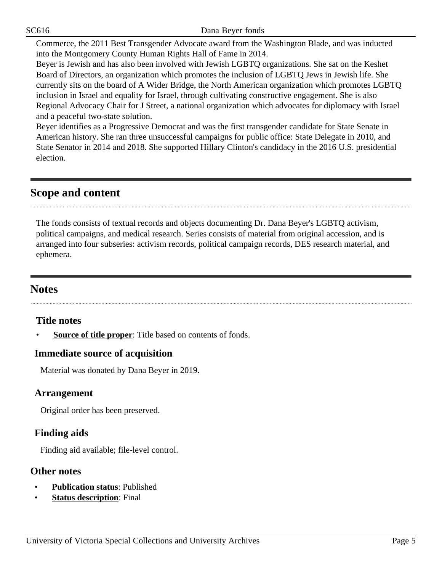SC616 Dana Beyer fonds

Commerce, the 2011 Best Transgender Advocate award from the Washington Blade, and was inducted into the Montgomery County Human Rights Hall of Fame in 2014.

Beyer is Jewish and has also been involved with Jewish LGBTQ organizations. She sat on the Keshet Board of Directors, an organization which promotes the inclusion of LGBTQ Jews in Jewish life. She currently sits on the board of A Wider Bridge, the North American organization which promotes LGBTQ inclusion in Israel and equality for Israel, through cultivating constructive engagement. She is also Regional Advocacy Chair for J Street, a national organization which advocates for diplomacy with Israel and a peaceful two-state solution.

Beyer identifies as a Progressive Democrat and was the first transgender candidate for State Senate in American history. She ran three unsuccessful campaigns for public office: State Delegate in 2010, and State Senator in 2014 and 2018. She supported Hillary Clinton's candidacy in the 2016 U.S. presidential election.

# <span id="page-4-0"></span>**Scope and content**

The fonds consists of textual records and objects documenting Dr. Dana Beyer's LGBTQ activism, political campaigns, and medical research. Series consists of material from original accession, and is arranged into four subseries: activism records, political campaign records, DES research material, and ephemera.

# <span id="page-4-2"></span>**Notes**

#### **Title notes**

**Source of title proper:** Title based on contents of fonds.

#### **Immediate source of acquisition**

Material was donated by Dana Beyer in 2019.

#### <span id="page-4-1"></span>**Arrangement**

Original order has been preserved.

# **Finding aids**

Finding aid available; file-level control.

#### **Other notes**

- **Publication status**: Published
- **Status description:** Final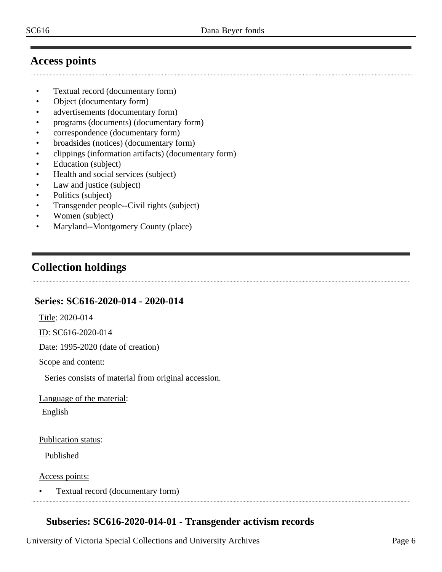# <span id="page-5-0"></span>**Access points**

- Textual record (documentary form)
- Object (documentary form)
- advertisements (documentary form)
- programs (documents) (documentary form)
- correspondence (documentary form)
- broadsides (notices) (documentary form)
- clippings (information artifacts) (documentary form)
- Education (subject)
- Health and social services (subject)
- Law and justice (subject)
- Politics (subject)
- Transgender people--Civil rights (subject)
- Women (subject)
- Maryland--Montgomery County (place)

# <span id="page-5-1"></span>**Collection holdings**

# <span id="page-5-2"></span>**Series: SC616-2020-014 - 2020-014**

Title: 2020-014

ID: SC616-2020-014

Date: 1995-2020 (date of creation)

Scope and content:

Series consists of material from original accession.

Language of the material:

English

Publication status:

Published

Access points:

• Textual record (documentary form)

# <span id="page-5-3"></span>**Subseries: SC616-2020-014-01 - Transgender activism records**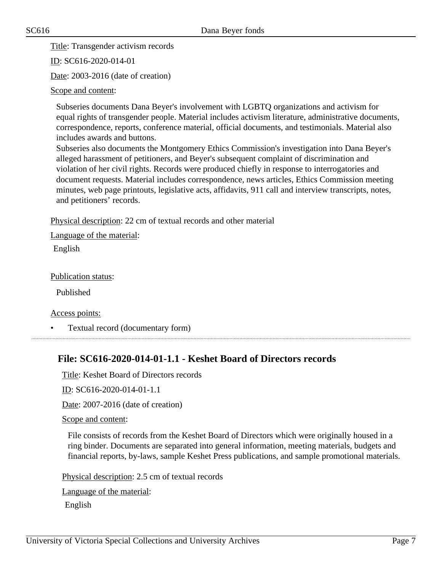Title: Transgender activism records

ID: SC616-2020-014-01

Date: 2003-2016 (date of creation)

Scope and content:

Subseries documents Dana Beyer's involvement with LGBTQ organizations and activism for equal rights of transgender people. Material includes activism literature, administrative documents, correspondence, reports, conference material, official documents, and testimonials. Material also includes awards and buttons.

Subseries also documents the Montgomery Ethics Commission's investigation into Dana Beyer's alleged harassment of petitioners, and Beyer's subsequent complaint of discrimination and violation of her civil rights. Records were produced chiefly in response to interrogatories and document requests. Material includes correspondence, news articles, Ethics Commission meeting minutes, web page printouts, legislative acts, affidavits, 911 call and interview transcripts, notes, and petitioners' records.

Physical description: 22 cm of textual records and other material

Language of the material:

English

Publication status:

Published

Access points:

• Textual record (documentary form)

# <span id="page-6-0"></span>**File: SC616-2020-014-01-1.1 - Keshet Board of Directors records**

Title: Keshet Board of Directors records

ID: SC616-2020-014-01-1.1

Date: 2007-2016 (date of creation)

Scope and content:

File consists of records from the Keshet Board of Directors which were originally housed in a ring binder. Documents are separated into general information, meeting materials, budgets and financial reports, by-laws, sample Keshet Press publications, and sample promotional materials.

Physical description: 2.5 cm of textual records

Language of the material: English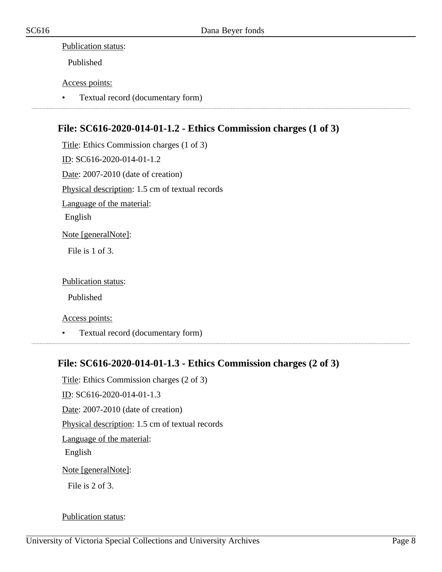#### Publication status:

Published

#### Access points:

• Textual record (documentary form)

# <span id="page-7-0"></span>**File: SC616-2020-014-01-1.2 - Ethics Commission charges (1 of 3)**

Title: Ethics Commission charges (1 of 3) ID: SC616-2020-014-01-1.2 Date: 2007-2010 (date of creation) Physical description: 1.5 cm of textual records Language of the material: English Note [generalNote]: File is 1 of 3.

Publication status:

Published

Access points:

• Textual record (documentary form)

#### <span id="page-7-1"></span>**File: SC616-2020-014-01-1.3 - Ethics Commission charges (2 of 3)**

Title: Ethics Commission charges (2 of 3) ID: SC616-2020-014-01-1.3 Date: 2007-2010 (date of creation) Physical description: 1.5 cm of textual records Language of the material: English Note [generalNote]: File is 2 of 3.

#### Publication status: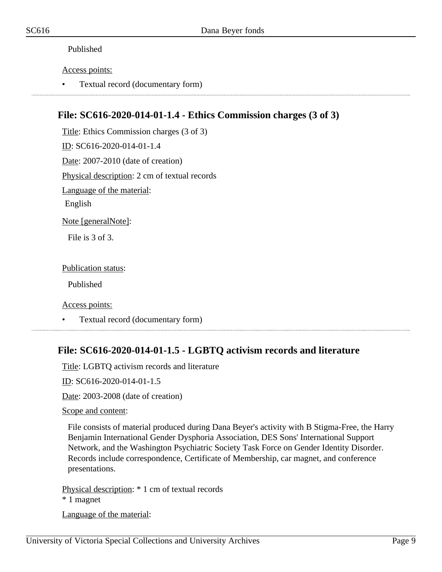#### Published

Access points:

• Textual record (documentary form)

#### <span id="page-8-0"></span>**File: SC616-2020-014-01-1.4 - Ethics Commission charges (3 of 3)**

Title: Ethics Commission charges (3 of 3) ID: SC616-2020-014-01-1.4 Date: 2007-2010 (date of creation) Physical description: 2 cm of textual records Language of the material: English Note [generalNote]:

File is 3 of 3.

Publication status:

Published

Access points:

• Textual record (documentary form)

#### <span id="page-8-1"></span>**File: SC616-2020-014-01-1.5 - LGBTQ activism records and literature**

Title: LGBTQ activism records and literature

ID: SC616-2020-014-01-1.5

Date: 2003-2008 (date of creation)

Scope and content:

File consists of material produced during Dana Beyer's activity with B Stigma-Free, the Harry Benjamin International Gender Dysphoria Association, DES Sons' International Support Network, and the Washington Psychiatric Society Task Force on Gender Identity Disorder. Records include correspondence, Certificate of Membership, car magnet, and conference presentations.

Physical description: \* 1 cm of textual records

\* 1 magnet

Language of the material: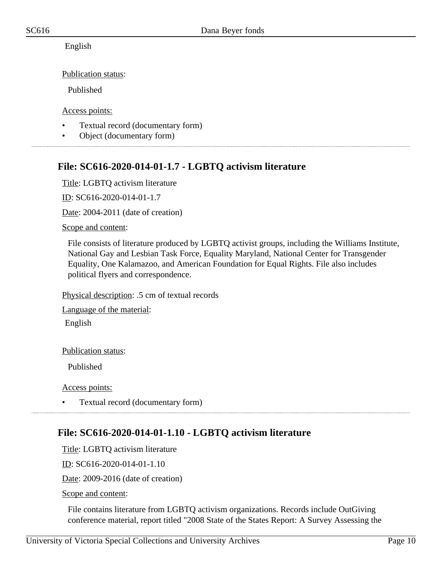English

Publication status:

Published

Access points:

- Textual record (documentary form)
- Object (documentary form)

# <span id="page-9-0"></span>**File: SC616-2020-014-01-1.7 - LGBTQ activism literature**

Title: LGBTQ activism literature

ID: SC616-2020-014-01-1.7

Date: 2004-2011 (date of creation)

Scope and content:

File consists of literature produced by LGBTQ activist groups, including the Williams Institute, National Gay and Lesbian Task Force, Equality Maryland, National Center for Transgender Equality, One Kalamazoo, and American Foundation for Equal Rights. File also includes political flyers and correspondence.

Physical description: .5 cm of textual records

Language of the material:

English

Publication status:

Published

Access points:

• Textual record (documentary form)

# <span id="page-9-1"></span>**File: SC616-2020-014-01-1.10 - LGBTQ activism literature**

Title: LGBTQ activism literature

ID: SC616-2020-014-01-1.10

Date: 2009-2016 (date of creation)

Scope and content:

File contains literature from LGBTQ activism organizations. Records include OutGiving conference material, report titled "2008 State of the States Report: A Survey Assessing the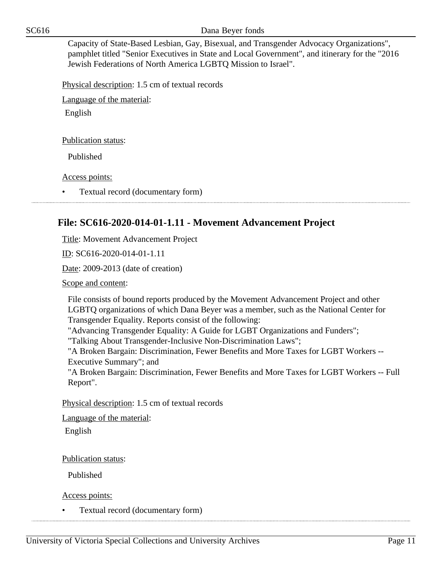SC616 Dana Beyer fonds

Capacity of State-Based Lesbian, Gay, Bisexual, and Transgender Advocacy Organizations", pamphlet titled "Senior Executives in State and Local Government", and itinerary for the "2016 Jewish Federations of North America LGBTQ Mission to Israel".

Physical description: 1.5 cm of textual records

Language of the material:

English

Publication status:

Published

Access points:

• Textual record (documentary form)

#### <span id="page-10-0"></span>**File: SC616-2020-014-01-1.11 - Movement Advancement Project**

Title: Movement Advancement Project

ID: SC616-2020-014-01-1.11

Date: 2009-2013 (date of creation)

Scope and content:

File consists of bound reports produced by the Movement Advancement Project and other LGBTQ organizations of which Dana Beyer was a member, such as the National Center for Transgender Equality. Reports consist of the following:

"Advancing Transgender Equality: A Guide for LGBT Organizations and Funders";

"Talking About Transgender-Inclusive Non-Discrimination Laws";

"A Broken Bargain: Discrimination, Fewer Benefits and More Taxes for LGBT Workers -- Executive Summary"; and

"A Broken Bargain: Discrimination, Fewer Benefits and More Taxes for LGBT Workers -- Full Report".

Physical description: 1.5 cm of textual records

Language of the material:

English

Publication status:

Published

Access points:

• Textual record (documentary form)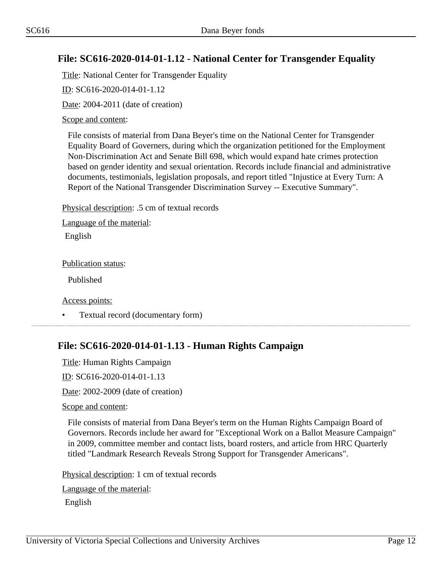#### <span id="page-11-0"></span>**File: SC616-2020-014-01-1.12 - National Center for Transgender Equality**

Title: National Center for Transgender Equality

ID: SC616-2020-014-01-1.12

Date: 2004-2011 (date of creation)

Scope and content:

File consists of material from Dana Beyer's time on the National Center for Transgender Equality Board of Governers, during which the organization petitioned for the Employment Non-Discrimination Act and Senate Bill 698, which would expand hate crimes protection based on gender identity and sexual orientation. Records include financial and administrative documents, testimonials, legislation proposals, and report titled "Injustice at Every Turn: A Report of the National Transgender Discrimination Survey -- Executive Summary".

Physical description: .5 cm of textual records

Language of the material:

English

Publication status:

Published

Access points:

• Textual record (documentary form)

# <span id="page-11-1"></span>**File: SC616-2020-014-01-1.13 - Human Rights Campaign**

Title: Human Rights Campaign

ID: SC616-2020-014-01-1.13

Date: 2002-2009 (date of creation)

Scope and content:

File consists of material from Dana Beyer's term on the Human Rights Campaign Board of Governors. Records include her award for "Exceptional Work on a Ballot Measure Campaign" in 2009, committee member and contact lists, board rosters, and article from HRC Quarterly titled "Landmark Research Reveals Strong Support for Transgender Americans".

Physical description: 1 cm of textual records

Language of the material:

English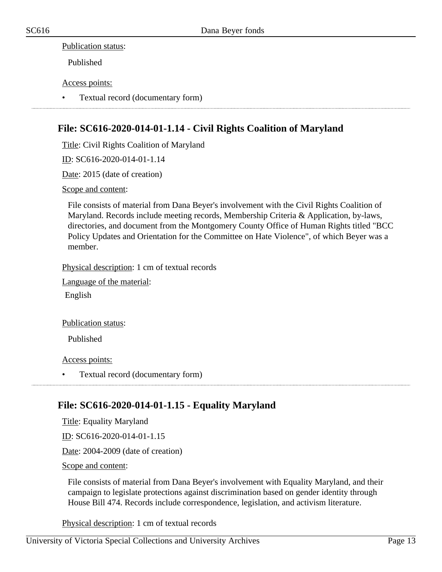#### Publication status:

Published

#### Access points:

• Textual record (documentary form)

#### <span id="page-12-0"></span>**File: SC616-2020-014-01-1.14 - Civil Rights Coalition of Maryland**

Title: Civil Rights Coalition of Maryland

ID: SC616-2020-014-01-1.14

Date: 2015 (date of creation)

Scope and content:

File consists of material from Dana Beyer's involvement with the Civil Rights Coalition of Maryland. Records include meeting records, Membership Criteria & Application, by-laws, directories, and document from the Montgomery County Office of Human Rights titled "BCC Policy Updates and Orientation for the Committee on Hate Violence", of which Beyer was a member.

Physical description: 1 cm of textual records

Language of the material:

English

Publication status:

Published

Access points:

• Textual record (documentary form)

#### <span id="page-12-1"></span>**File: SC616-2020-014-01-1.15 - Equality Maryland**

Title: Equality Maryland

ID: SC616-2020-014-01-1.15

Date: 2004-2009 (date of creation)

Scope and content:

File consists of material from Dana Beyer's involvement with Equality Maryland, and their campaign to legislate protections against discrimination based on gender identity through House Bill 474. Records include correspondence, legislation, and activism literature.

Physical description: 1 cm of textual records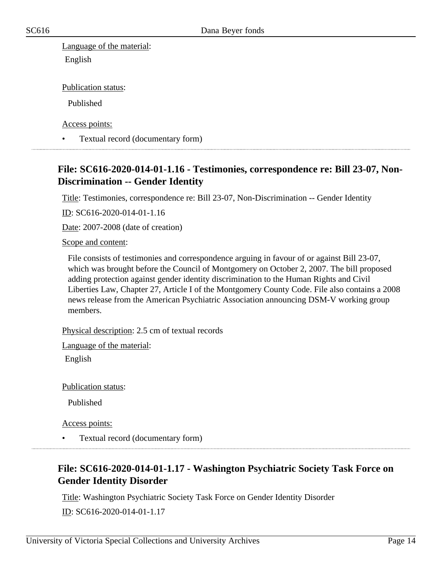Language of the material: English

Publication status:

Published

Access points:

• Textual record (documentary form)

#### <span id="page-13-0"></span>**File: SC616-2020-014-01-1.16 - Testimonies, correspondence re: Bill 23-07, Non-Discrimination -- Gender Identity**

Title: Testimonies, correspondence re: Bill 23-07, Non-Discrimination -- Gender Identity

ID: SC616-2020-014-01-1.16

Date: 2007-2008 (date of creation)

#### Scope and content:

File consists of testimonies and correspondence arguing in favour of or against Bill 23-07, which was brought before the Council of Montgomery on October 2, 2007. The bill proposed adding protection against gender identity discrimination to the Human Rights and Civil Liberties Law, Chapter 27, Article I of the Montgomery County Code. File also contains a 2008 news release from the American Psychiatric Association announcing DSM-V working group members.

Physical description: 2.5 cm of textual records

Language of the material:

English

Publication status:

Published

Access points:

• Textual record (documentary form)

# <span id="page-13-1"></span>**File: SC616-2020-014-01-1.17 - Washington Psychiatric Society Task Force on Gender Identity Disorder**

Title: Washington Psychiatric Society Task Force on Gender Identity Disorder

ID: SC616-2020-014-01-1.17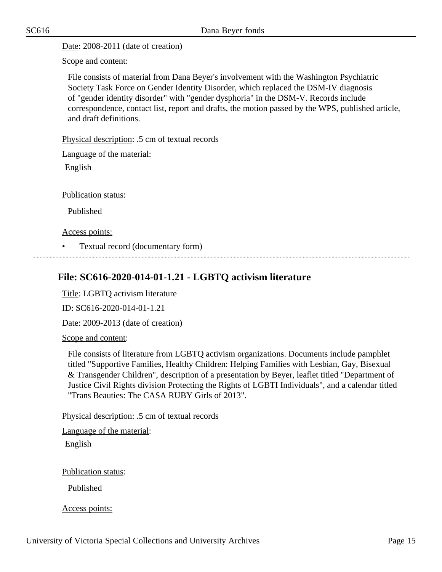Date: 2008-2011 (date of creation)

Scope and content:

File consists of material from Dana Beyer's involvement with the Washington Psychiatric Society Task Force on Gender Identity Disorder, which replaced the DSM-IV diagnosis of "gender identity disorder" with "gender dysphoria" in the DSM-V. Records include correspondence, contact list, report and drafts, the motion passed by the WPS, published article, and draft definitions.

Physical description: .5 cm of textual records

Language of the material:

English

Publication status:

Published

Access points:

• Textual record (documentary form)

# <span id="page-14-0"></span>**File: SC616-2020-014-01-1.21 - LGBTQ activism literature**

Title: LGBTQ activism literature

ID: SC616-2020-014-01-1.21

Date: 2009-2013 (date of creation)

Scope and content:

File consists of literature from LGBTQ activism organizations. Documents include pamphlet titled "Supportive Families, Healthy Children: Helping Families with Lesbian, Gay, Bisexual & Transgender Children", description of a presentation by Beyer, leaflet titled "Department of Justice Civil Rights division Protecting the Rights of LGBTI Individuals", and a calendar titled "Trans Beauties: The CASA RUBY Girls of 2013".

Physical description: .5 cm of textual records

Language of the material:

English

Publication status:

Published

Access points: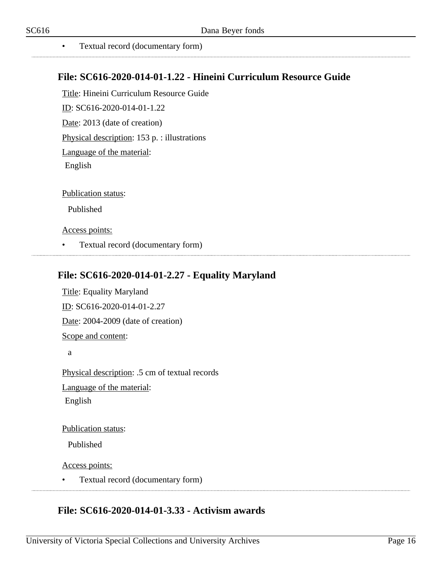• Textual record (documentary form)

#### <span id="page-15-0"></span>**File: SC616-2020-014-01-1.22 - Hineini Curriculum Resource Guide**

Title: Hineini Curriculum Resource Guide ID: SC616-2020-014-01-1.22

Date: 2013 (date of creation)

Physical description: 153 p. : illustrations

Language of the material:

English

Publication status:

Published

Access points:

• Textual record (documentary form)

# <span id="page-15-1"></span>**File: SC616-2020-014-01-2.27 - Equality Maryland**

Title: Equality Maryland ID: SC616-2020-014-01-2.27 Date: 2004-2009 (date of creation) Scope and content: a

Physical description: .5 cm of textual records Language of the material: English

Publication status:

Published

Access points:

• Textual record (documentary form)

# <span id="page-15-2"></span>**File: SC616-2020-014-01-3.33 - Activism awards**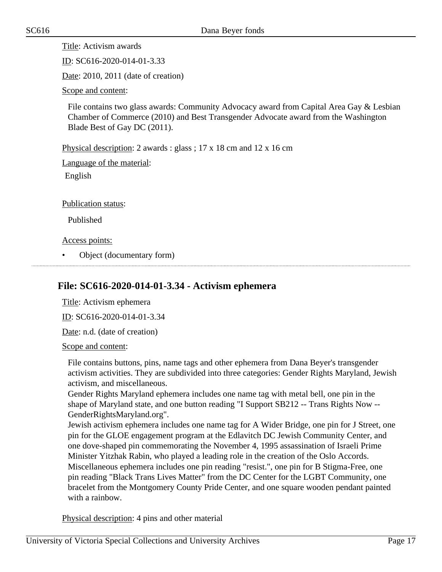Title: Activism awards

ID: SC616-2020-014-01-3.33

Date: 2010, 2011 (date of creation)

Scope and content:

File contains two glass awards: Community Advocacy award from Capital Area Gay & Lesbian Chamber of Commerce (2010) and Best Transgender Advocate award from the Washington Blade Best of Gay DC (2011).

Physical description: 2 awards : glass ; 17 x 18 cm and 12 x 16 cm

Language of the material:

English

Publication status:

Published

Access points:

• Object (documentary form)

# <span id="page-16-0"></span>**File: SC616-2020-014-01-3.34 - Activism ephemera**

Title: Activism ephemera

ID: SC616-2020-014-01-3.34

Date: n.d. (date of creation)

Scope and content:

File contains buttons, pins, name tags and other ephemera from Dana Beyer's transgender activism activities. They are subdivided into three categories: Gender Rights Maryland, Jewish activism, and miscellaneous.

Gender Rights Maryland ephemera includes one name tag with metal bell, one pin in the shape of Maryland state, and one button reading "I Support SB212 -- Trans Rights Now -- GenderRightsMaryland.org".

Jewish activism ephemera includes one name tag for A Wider Bridge, one pin for J Street, one pin for the GLOE engagement program at the Edlavitch DC Jewish Community Center, and one dove-shaped pin commemorating the November 4, 1995 assassination of Israeli Prime Minister Yitzhak Rabin, who played a leading role in the creation of the Oslo Accords. Miscellaneous ephemera includes one pin reading "resist.", one pin for B Stigma-Free, one pin reading "Black Trans Lives Matter" from the DC Center for the LGBT Community, one bracelet from the Montgomery County Pride Center, and one square wooden pendant painted with a rainbow.

Physical description: 4 pins and other material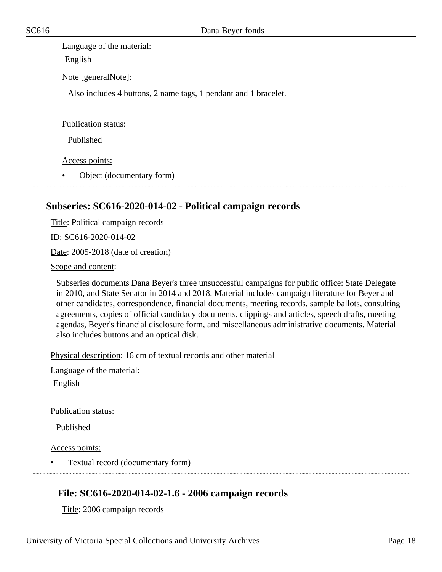Language of the material:

English

Note [generalNote]:

Also includes 4 buttons, 2 name tags, 1 pendant and 1 bracelet.

Publication status:

Published

Access points:

• Object (documentary form)

# <span id="page-17-0"></span>**Subseries: SC616-2020-014-02 - Political campaign records**

Title: Political campaign records ID: SC616-2020-014-02 Date: 2005-2018 (date of creation)

Scope and content:

Subseries documents Dana Beyer's three unsuccessful campaigns for public office: State Delegate in 2010, and State Senator in 2014 and 2018. Material includes campaign literature for Beyer and other candidates, correspondence, financial documents, meeting records, sample ballots, consulting agreements, copies of official candidacy documents, clippings and articles, speech drafts, meeting agendas, Beyer's financial disclosure form, and miscellaneous administrative documents. Material also includes buttons and an optical disk.

Physical description: 16 cm of textual records and other material

Language of the material:

English

Publication status:

Published

Access points:

• Textual record (documentary form)

# <span id="page-17-1"></span>**File: SC616-2020-014-02-1.6 - 2006 campaign records**

Title: 2006 campaign records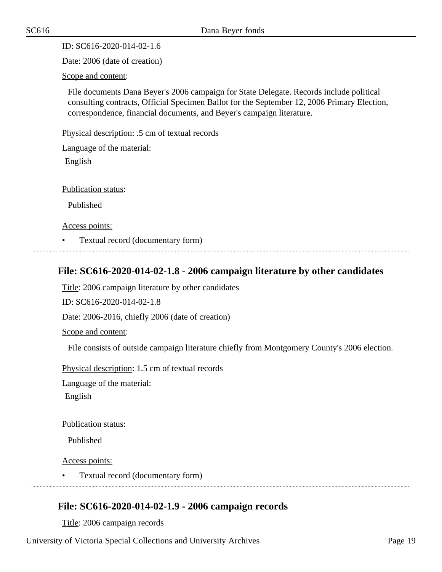$ID: SC616-2020-014-02-1.6$ 

Date: 2006 (date of creation)

Scope and content:

File documents Dana Beyer's 2006 campaign for State Delegate. Records include political consulting contracts, Official Specimen Ballot for the September 12, 2006 Primary Election, correspondence, financial documents, and Beyer's campaign literature.

Physical description: .5 cm of textual records

Language of the material:

English

Publication status:

Published

Access points:

• Textual record (documentary form)

#### <span id="page-18-0"></span>**File: SC616-2020-014-02-1.8 - 2006 campaign literature by other candidates**

Title: 2006 campaign literature by other candidates

ID: SC616-2020-014-02-1.8

Date: 2006-2016, chiefly 2006 (date of creation)

Scope and content:

File consists of outside campaign literature chiefly from Montgomery County's 2006 election.

Physical description: 1.5 cm of textual records

Language of the material:

English

Publication status:

Published

Access points:

• Textual record (documentary form)

#### <span id="page-18-1"></span>**File: SC616-2020-014-02-1.9 - 2006 campaign records**

Title: 2006 campaign records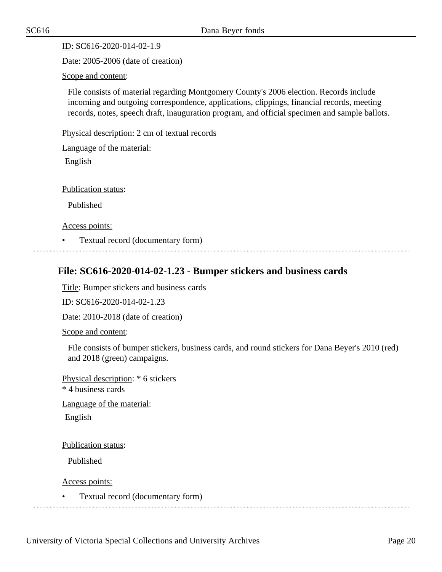ID: SC616-2020-014-02-1.9

Date: 2005-2006 (date of creation)

Scope and content:

File consists of material regarding Montgomery County's 2006 election. Records include incoming and outgoing correspondence, applications, clippings, financial records, meeting records, notes, speech draft, inauguration program, and official specimen and sample ballots.

Physical description: 2 cm of textual records

Language of the material:

English

Publication status:

Published

Access points:

• Textual record (documentary form)

#### <span id="page-19-0"></span>**File: SC616-2020-014-02-1.23 - Bumper stickers and business cards**

Title: Bumper stickers and business cards

ID: SC616-2020-014-02-1.23

Date: 2010-2018 (date of creation)

Scope and content:

File consists of bumper stickers, business cards, and round stickers for Dana Beyer's 2010 (red) and 2018 (green) campaigns.

Physical description: \* 6 stickers \* 4 business cards Language of the material:

English

Publication status:

Published

Access points:

• Textual record (documentary form)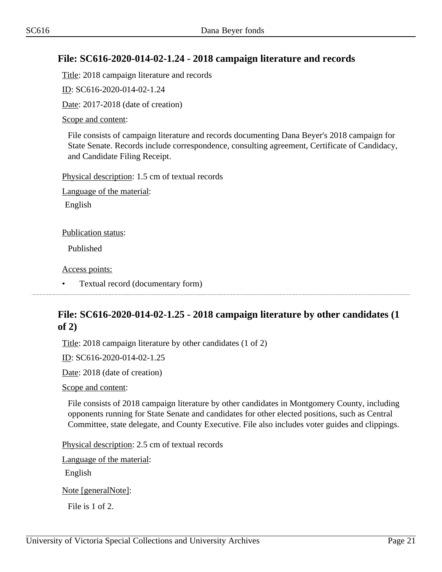#### <span id="page-20-0"></span>**File: SC616-2020-014-02-1.24 - 2018 campaign literature and records**

Title: 2018 campaign literature and records

ID: SC616-2020-014-02-1.24

Date: 2017-2018 (date of creation)

Scope and content:

File consists of campaign literature and records documenting Dana Beyer's 2018 campaign for State Senate. Records include correspondence, consulting agreement, Certificate of Candidacy, and Candidate Filing Receipt.

Physical description: 1.5 cm of textual records

Language of the material:

English

Publication status:

Published

Access points:

• Textual record (documentary form)

# <span id="page-20-1"></span>**File: SC616-2020-014-02-1.25 - 2018 campaign literature by other candidates (1 of 2)**

Title: 2018 campaign literature by other candidates (1 of 2)

ID: SC616-2020-014-02-1.25

Date: 2018 (date of creation)

Scope and content:

File consists of 2018 campaign literature by other candidates in Montgomery County, including opponents running for State Senate and candidates for other elected positions, such as Central Committee, state delegate, and County Executive. File also includes voter guides and clippings.

Physical description: 2.5 cm of textual records

Language of the material:

English

Note [generalNote]:

File is 1 of 2.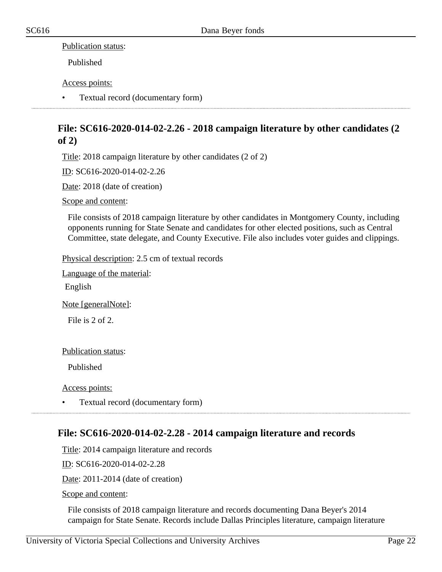#### Publication status:

Published

#### Access points:

• Textual record (documentary form)

# <span id="page-21-0"></span>**File: SC616-2020-014-02-2.26 - 2018 campaign literature by other candidates (2 of 2)**

Title: 2018 campaign literature by other candidates (2 of 2)

ID: SC616-2020-014-02-2.26

Date: 2018 (date of creation)

Scope and content:

File consists of 2018 campaign literature by other candidates in Montgomery County, including opponents running for State Senate and candidates for other elected positions, such as Central Committee, state delegate, and County Executive. File also includes voter guides and clippings.

Physical description: 2.5 cm of textual records

Language of the material:

English

Note [generalNote]:

File is 2 of 2.

Publication status:

Published

Access points:

• Textual record (documentary form)

#### <span id="page-21-1"></span>**File: SC616-2020-014-02-2.28 - 2014 campaign literature and records**

Title: 2014 campaign literature and records

ID: SC616-2020-014-02-2.28

Date: 2011-2014 (date of creation)

Scope and content:

File consists of 2018 campaign literature and records documenting Dana Beyer's 2014 campaign for State Senate. Records include Dallas Principles literature, campaign literature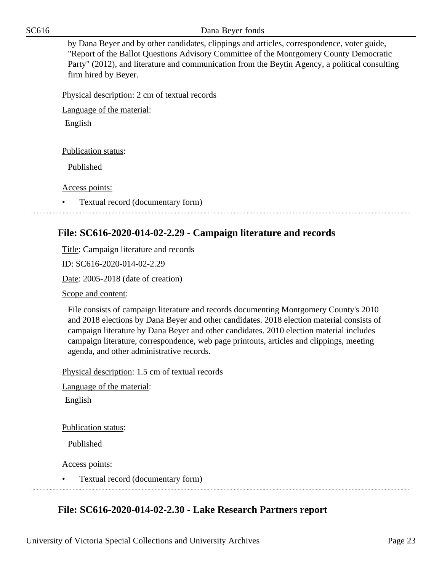SC616 Dana Beyer fonds

by Dana Beyer and by other candidates, clippings and articles, correspondence, voter guide, "Report of the Ballot Questions Advisory Committee of the Montgomery County Democratic Party" (2012), and literature and communication from the Beytin Agency, a political consulting firm hired by Beyer.

Physical description: 2 cm of textual records

Language of the material:

English

Publication status:

Published

Access points:

• Textual record (documentary form)

#### <span id="page-22-0"></span>**File: SC616-2020-014-02-2.29 - Campaign literature and records**

Title: Campaign literature and records

ID: SC616-2020-014-02-2.29

Date: 2005-2018 (date of creation)

Scope and content:

File consists of campaign literature and records documenting Montgomery County's 2010 and 2018 elections by Dana Beyer and other candidates. 2018 election material consists of campaign literature by Dana Beyer and other candidates. 2010 election material includes campaign literature, correspondence, web page printouts, articles and clippings, meeting agenda, and other administrative records.

Physical description: 1.5 cm of textual records

Language of the material:

English

Publication status:

Published

Access points:

• Textual record (documentary form)

# <span id="page-22-1"></span>**File: SC616-2020-014-02-2.30 - Lake Research Partners report**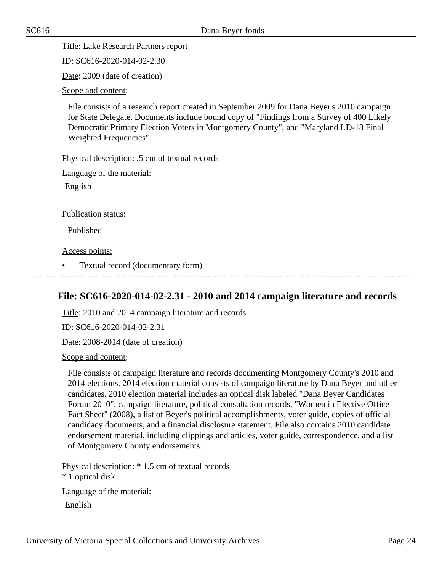Title: Lake Research Partners report

ID: SC616-2020-014-02-2.30

Date: 2009 (date of creation)

Scope and content:

File consists of a research report created in September 2009 for Dana Beyer's 2010 campaign for State Delegate. Documents include bound copy of "Findings from a Survey of 400 Likely Democratic Primary Election Voters in Montgomery County", and "Maryland LD-18 Final Weighted Frequencies".

Physical description: .5 cm of textual records

Language of the material:

English

Publication status:

Published

Access points:

• Textual record (documentary form)

#### <span id="page-23-0"></span>**File: SC616-2020-014-02-2.31 - 2010 and 2014 campaign literature and records**

Title: 2010 and 2014 campaign literature and records

ID: SC616-2020-014-02-2.31

Date: 2008-2014 (date of creation)

Scope and content:

File consists of campaign literature and records documenting Montgomery County's 2010 and 2014 elections. 2014 election material consists of campaign literature by Dana Beyer and other candidates. 2010 election material includes an optical disk labeled "Dana Beyer Candidates Forum 2010", campaign literature, political consultation records, "Women in Elective Office Fact Sheet" (2008), a list of Beyer's political accomplishments, voter guide, copies of official candidacy documents, and a financial disclosure statement. File also contains 2010 candidate endorsement material, including clippings and articles, voter guide, correspondence, and a list of Montgomery County endorsements.

Physical description: \* 1.5 cm of textual records \* 1 optical disk Language of the material:

English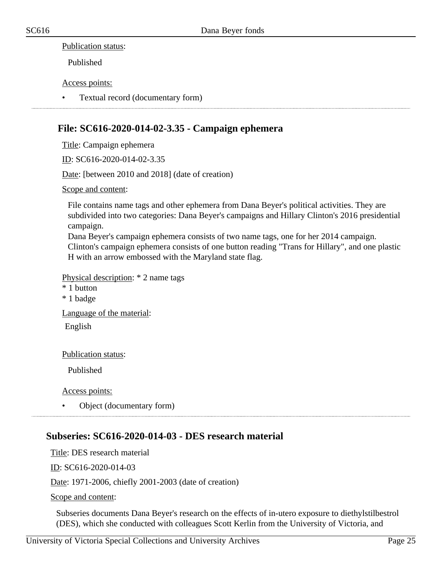#### Publication status:

Published

#### Access points:

• Textual record (documentary form)

#### <span id="page-24-0"></span>**File: SC616-2020-014-02-3.35 - Campaign ephemera**

Title: Campaign ephemera

ID: SC616-2020-014-02-3.35

Date: [between 2010 and 2018] (date of creation)

Scope and content:

File contains name tags and other ephemera from Dana Beyer's political activities. They are subdivided into two categories: Dana Beyer's campaigns and Hillary Clinton's 2016 presidential campaign.

Dana Beyer's campaign ephemera consists of two name tags, one for her 2014 campaign. Clinton's campaign ephemera consists of one button reading "Trans for Hillary", and one plastic H with an arrow embossed with the Maryland state flag.

Physical description: \* 2 name tags

- \* 1 button
- \* 1 badge

Language of the material:

English

Publication status:

Published

Access points:

• Object (documentary form)

# <span id="page-24-1"></span>**Subseries: SC616-2020-014-03 - DES research material**

Title: DES research material ID: SC616-2020-014-03 Date: 1971-2006, chiefly 2001-2003 (date of creation) Scope and content:

Subseries documents Dana Beyer's research on the effects of in-utero exposure to diethylstilbestrol (DES), which she conducted with colleagues Scott Kerlin from the University of Victoria, and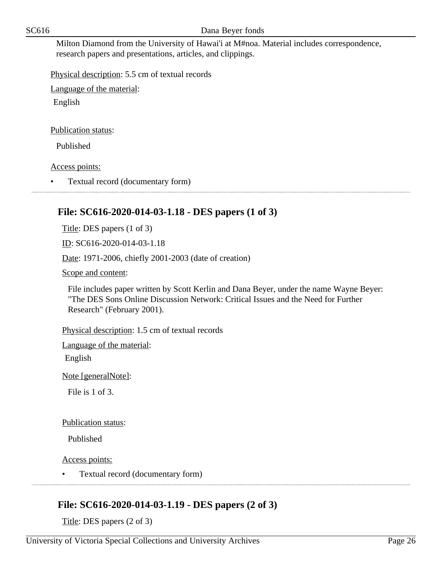Milton Diamond from the University of Hawai'i at M#noa. Material includes correspondence, research papers and presentations, articles, and clippings.

Physical description: 5.5 cm of textual records

Language of the material:

English

#### Publication status:

Published

Access points:

• Textual record (documentary form)

# **File: SC616-2020-014-03-1.18 - DES papers (1 of 3)**

Title: DES papers (1 of 3)

ID: SC616-2020-014-03-1.18

Date: 1971-2006, chiefly 2001-2003 (date of creation)

<span id="page-25-0"></span>

Scope and content:

File includes paper written by Scott Kerlin and Dana Beyer, under the name Wayne Beyer: "The DES Sons Online Discussion Network: Critical Issues and the Need for Further Research" (February 2001).

Physical description: 1.5 cm of textual records

Language of the material:

English

Note [generalNote]:

File is 1 of 3.

Publication status:

Published

Access points:

• Textual record (documentary form)

# <span id="page-25-1"></span>**File: SC616-2020-014-03-1.19 - DES papers (2 of 3)**

Title: DES papers (2 of 3)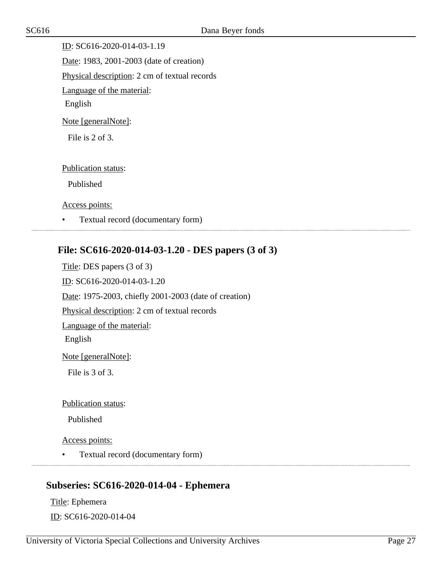ID: SC616-2020-014-03-1.19 Date: 1983, 2001-2003 (date of creation) Physical description: 2 cm of textual records Language of the material: English Note [generalNote]:

File is 2 of 3.

Publication status:

Published

Access points:

• Textual record (documentary form)

#### <span id="page-26-0"></span>**File: SC616-2020-014-03-1.20 - DES papers (3 of 3)**

Title: DES papers (3 of 3) ID: SC616-2020-014-03-1.20 Date: 1975-2003, chiefly 2001-2003 (date of creation) Physical description: 2 cm of textual records Language of the material: English Note [generalNote]: File is 3 of 3. Publication status:

Published

Access points:

• Textual record (documentary form)

#### <span id="page-26-1"></span>**Subseries: SC616-2020-014-04 - Ephemera**

Title: Ephemera ID: SC616-2020-014-04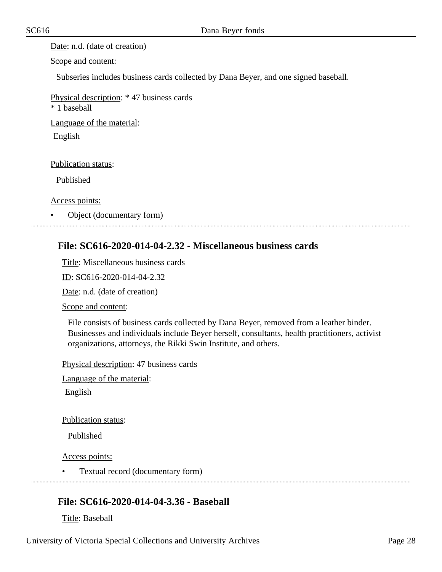Date: n.d. (date of creation)

Scope and content:

Subseries includes business cards collected by Dana Beyer, and one signed baseball.

Physical description: \* 47 business cards

\* 1 baseball

Language of the material:

English

Publication status:

Published

Access points:

• Object (documentary form)

#### <span id="page-27-0"></span>**File: SC616-2020-014-04-2.32 - Miscellaneous business cards**

Title: Miscellaneous business cards

ID: SC616-2020-014-04-2.32

Date: n.d. (date of creation)

Scope and content:

File consists of business cards collected by Dana Beyer, removed from a leather binder. Businesses and individuals include Beyer herself, consultants, health practitioners, activist organizations, attorneys, the Rikki Swin Institute, and others.

Physical description: 47 business cards

Language of the material:

English

Publication status:

Published

Access points:

• Textual record (documentary form) 

#### <span id="page-27-1"></span>**File: SC616-2020-014-04-3.36 - Baseball**

Title: Baseball